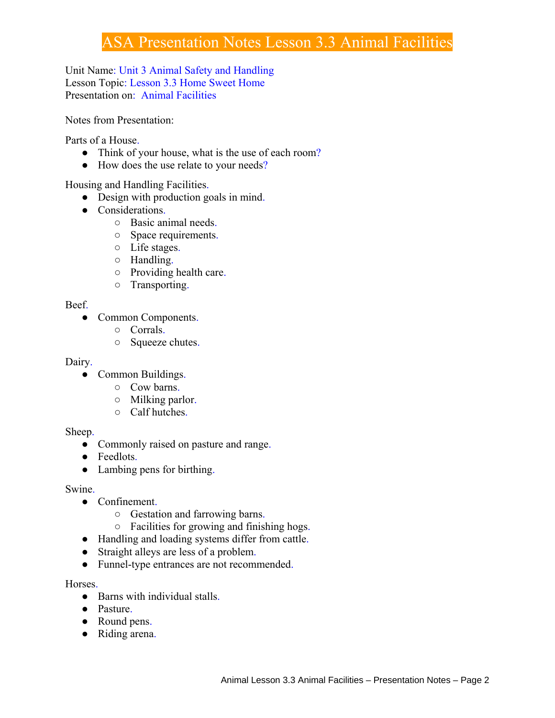# ASA Presentation Notes Lesson 3.3 Animal Facilities

Unit Name: Unit 3 Animal Safety and Handling Lesson Topic: Lesson 3.3 Home Sweet Home Presentation on: Animal Facilities

Notes from Presentation:

Parts of a House.

- Think of your house, what is the use of each room?
- How does the use relate to your needs?

Housing and Handling Facilities.

- Design with production goals in mind.
- Considerations.
	- Basic animal needs.
	- Space requirements.
	- Life stages.
	- Handling.
	- Providing health care.
	- Transporting.

## Beef.

- Common Components.
	- Corrals.
	- Squeeze chutes.

## Dairy.

- Common Buildings.
	- Cow barns.
	- Milking parlor.
	- Calf hutches.

## Sheep.

- Commonly raised on pasture and range.
- Feedlots.
- Lambing pens for birthing.

## Swine.

- Confinement.
	- Gestation and farrowing barns.
	- Facilities for growing and finishing hogs.
- Handling and loading systems differ from cattle.
- Straight alleys are less of a problem.
- Funnel-type entrances are not recommended.

## Horses.

- Barns with individual stalls.
- Pasture.
- Round pens.
- Riding arena.